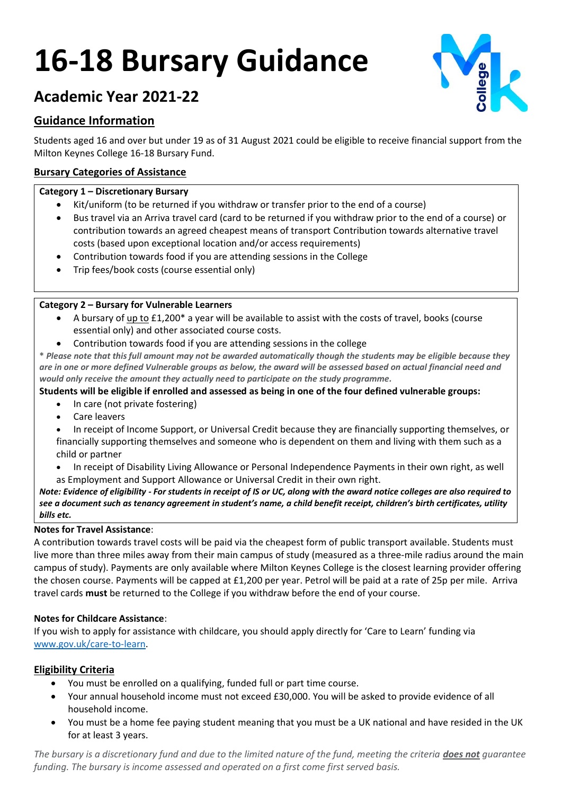# **16-18 Bursary Guidance**



# **Academic Year 2021-22**

# **Guidance Information**

Students aged 16 and over but under 19 as of 31 August 2021 could be eligible to receive financial support from the Milton Keynes College 16-18 Bursary Fund.

# **Bursary Categories of Assistance**

# **Category 1 – Discretionary Bursary**

- Kit/uniform (to be returned if you withdraw or transfer prior to the end of a course)
- Bus travel via an Arriva travel card (card to be returned if you withdraw prior to the end of a course) or contribution towards an agreed cheapest means of transport Contribution towards alternative travel costs (based upon exceptional location and/or access requirements)
- Contribution towards food if you are attending sessions in the College
- Trip fees/book costs (course essential only)

# **Category 2 – Bursary for Vulnerable Learners**

- A bursary of up to £1,200\* a year will be available to assist with the costs of travel, books (course essential only) and other associated course costs.
- Contribution towards food if you are attending sessions in the college

**\*** *Please note that this full amount may not be awarded automatically though the students may be eligible because they are in one or more defined Vulnerable groups as below, the award will be assessed based on actual financial need and would only receive the amount they actually need to participate on the study programme.*

### **Students will be eligible if enrolled and assessed as being in one of the four defined vulnerable groups:**

- In care (not private fostering)
- Care leavers
- In receipt of Income Support, or Universal Credit because they are financially supporting themselves, or financially supporting themselves and someone who is dependent on them and living with them such as a child or partner
- In receipt of Disability Living Allowance or Personal Independence Payments in their own right, as well as Employment and Support Allowance or Universal Credit in their own right.

*Note: Evidence of eligibility - For students in receipt of IS or UC, along with the award notice colleges are also required to see a document such as tenancy agreement in student's name, a child benefit receipt, children's birth certificates, utility bills etc.*

### **Notes for Travel Assistance**:

A contribution towards travel costs will be paid via the cheapest form of public transport available. Students must live more than three miles away from their main campus of study (measured as a three-mile radius around the main campus of study). Payments are only available where Milton Keynes College is the closest learning provider offering the chosen course. Payments will be capped at £1,200 per year. Petrol will be paid at a rate of 25p per mile. Arriva travel cards **must** be returned to the College if you withdraw before the end of your course.

# **Notes for Childcare Assistance**:

If you wish to apply for assistance with childcare, you should apply directly for 'Care to Learn' funding via [www.gov.uk/care-to-learn.](http://www.gov.uk/care-to-learn)

# **Eligibility Criteria**

- You must be enrolled on a qualifying, funded full or part time course.
- Your annual household income must not exceed £30,000. You will be asked to provide evidence of all household income.
- You must be a home fee paying student meaning that you must be a UK national and have resided in the UK for at least 3 years.

*The bursary is a discretionary fund and due to the limited nature of the fund, meeting the criteria does not guarantee funding. The bursary is income assessed and operated on a first come first served basis.*